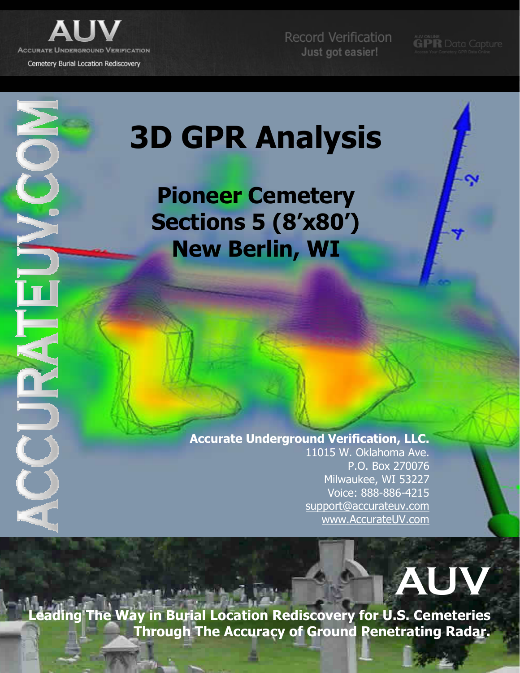

É

 $\geq$ 

Record Verification Just got easier!

**GPR** Data Capture

# 3D GPR Analysis

Pioneer Cemetery Sections 5 (8'x80') New Berlin, WI

#### Accurate Underground Verification, LLC. 11015 W. Oklahoma Ave.

P.O. Box 270076 Milwaukee, WI 53227 Voice: 888-886-4215 support@accurateuv.com www.AccurateUV.com



ding The Way in Burial Location Rediscovery for U.S. Cemeteries Through The Accuracy of Ground Penetrating Radar.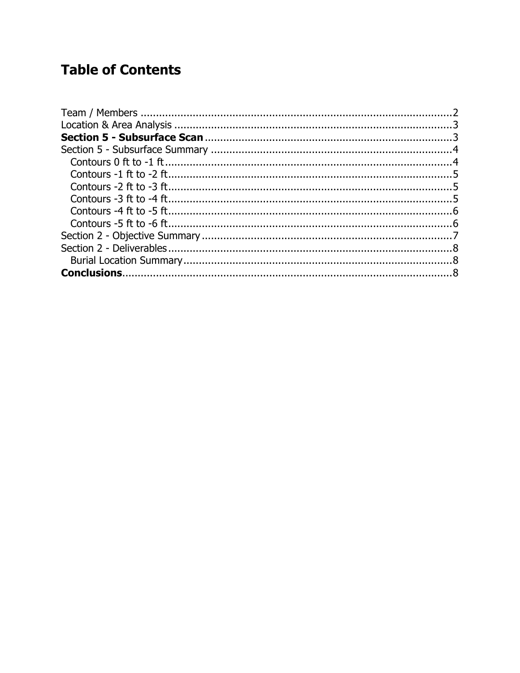#### **Table of Contents**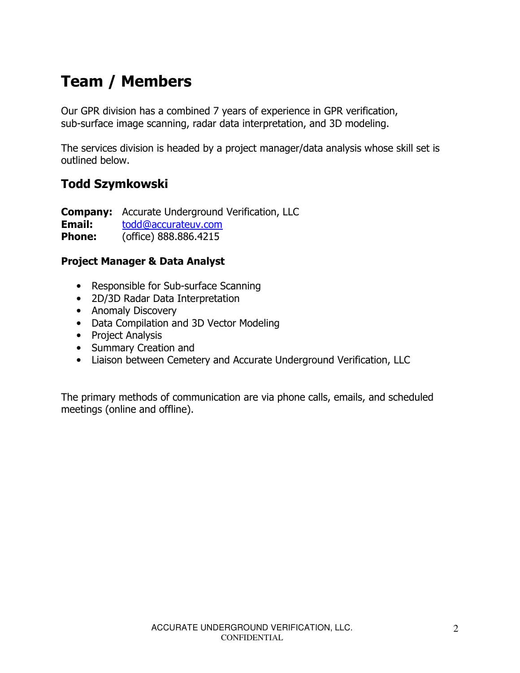# Team / Members

Our GPR division has a combined 7 years of experience in GPR verification, sub-surface image scanning, radar data interpretation, and 3D modeling.

The services division is headed by a project manager/data analysis whose skill set is outlined below.

#### Todd Szymkowski

**Company:** Accurate Underground Verification, LLC Email: todd@accurateuv.com **Phone:** (office) 888.886.4215

#### Project Manager & Data Analyst

- Responsible for Sub-surface Scanning
- 2D/3D Radar Data Interpretation
- Anomaly Discovery
- Data Compilation and 3D Vector Modeling
- Project Analysis
- Summary Creation and
- Liaison between Cemetery and Accurate Underground Verification, LLC

The primary methods of communication are via phone calls, emails, and scheduled meetings (online and offline).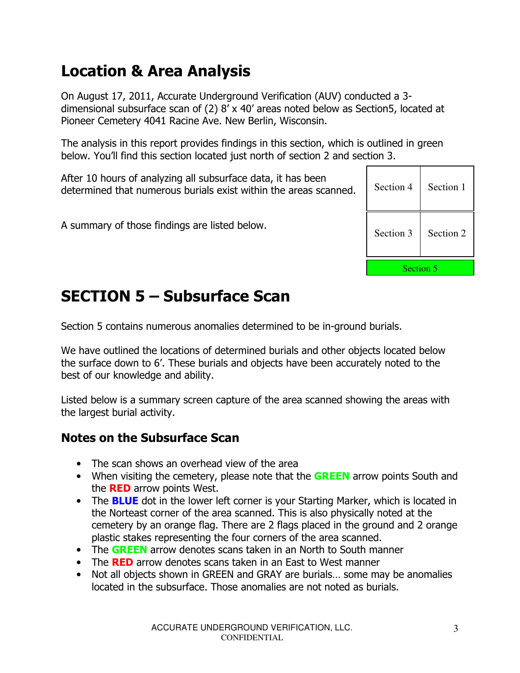## Location & Area Analysis

On August 17, 2011, Accurate Underground Verification (AUV) conducted a 3 dimensional subsurface scan of (2) 8' x 40' areas noted below as Section5, located at Pioneer Cemetery 4041 Racine Ave. New Berlin, Wisconsin.

The analysis in this report provides findings in this section, which is outlined in green below. You'll find this section located just north of section 2 and section 3.

After 10 hours of analyzing all subsurface data, it has been determined that numerous burials exist within the areas scanned.

A summary of those findings are listed below.

| Section 4        | Section 1 |  |  |
|------------------|-----------|--|--|
| Section 3        | Section 2 |  |  |
| <b>Section 5</b> |           |  |  |

## SECTION 5 – Subsurface Scan

Section 5 contains numerous anomalies determined to be in-ground burials.

We have outlined the locations of determined burials and other objects located below the surface down to 6'. These burials and objects have been accurately noted to the best of our knowledge and ability.

Listed below is a summary screen capture of the area scanned showing the areas with the largest burial activity.

#### Notes on the Subsurface Scan

- The scan shows an overhead view of the area
- When visiting the cemetery, please note that the **GREEN** arrow points South and the **RED** arrow points West.
- The **BLUE** dot in the lower left corner is your Starting Marker, which is located in the Norteast corner of the area scanned. This is also physically noted at the cemetery by an orange flag. There are 2 flags placed in the ground and 2 orange plastic stakes representing the four corners of the area scanned.
- The GREEN arrow denotes scans taken in an North to South manner
- The RED arrow denotes scans taken in an East to West manner
- Not all objects shown in GREEN and GRAY are burials... some may be anomalies located in the subsurface. Those anomalies are not noted as burials.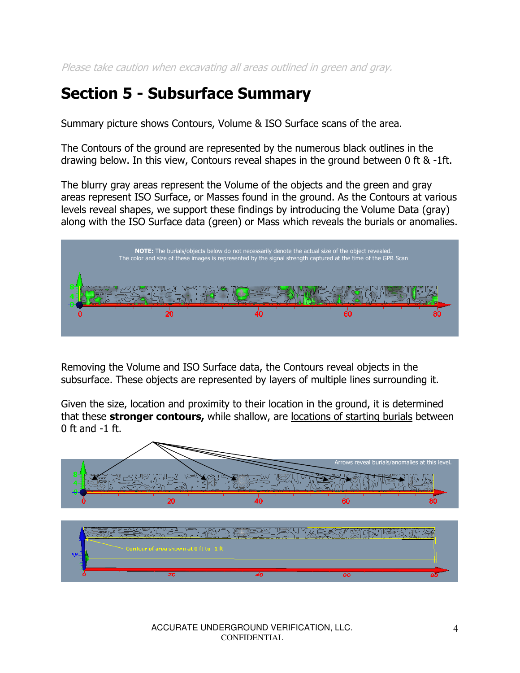Please take caution when excavating all areas outlined in green and gray.

#### Section 5 - Subsurface Summary

Summary picture shows Contours, Volume & ISO Surface scans of the area.

The Contours of the ground are represented by the numerous black outlines in the drawing below. In this view, Contours reveal shapes in the ground between 0 ft & -1ft.

The blurry gray areas represent the Volume of the objects and the green and gray areas represent ISO Surface, or Masses found in the ground. As the Contours at various levels reveal shapes, we support these findings by introducing the Volume Data (gray) along with the ISO Surface data (green) or Mass which reveals the burials or anomalies.



Removing the Volume and ISO Surface data, the Contours reveal objects in the subsurface. These objects are represented by layers of multiple lines surrounding it.

Given the size, location and proximity to their location in the ground, it is determined that these **stronger contours,** while shallow, are locations of starting burials between  $0$  ft and  $-1$  ft.

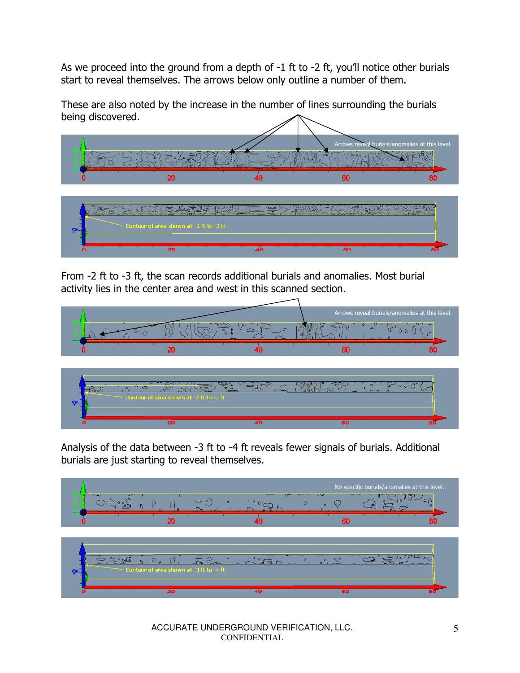As we proceed into the ground from a depth of -1 ft to -2 ft, you'll notice other burials start to reveal themselves. The arrows below only outline a number of them.

These are also noted by the increase in the number of lines surrounding the burials being discovered.



From -2 ft to -3 ft, the scan records additional burials and anomalies. Most burial activity lies in the center area and west in this scanned section.



Analysis of the data between -3 ft to -4 ft reveals fewer signals of burials. Additional burials are just starting to reveal themselves.



| $\sim$ Contour of area shown at -3 ft to -4 ft | - |  |
|------------------------------------------------|---|--|
|                                                |   |  |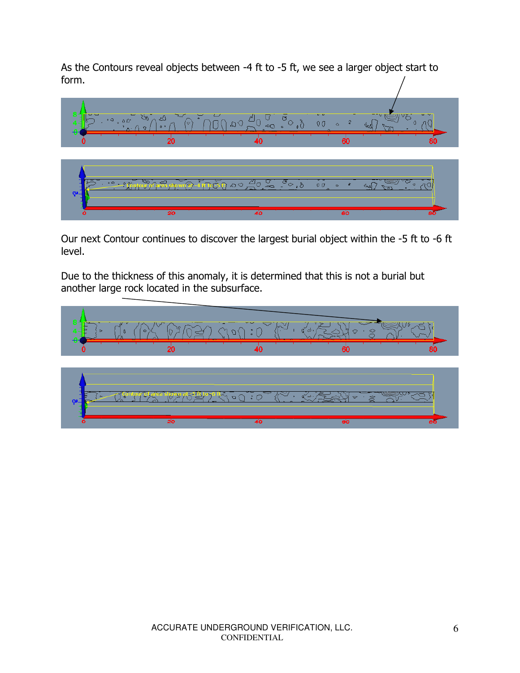As the Contours reveal objects between -4 ft to -5 ft, we see a larger object start to form.



Our next Contour continues to discover the largest burial object within the -5 ft to -6 ft level.

Due to the thickness of this anomaly, it is determined that this is not a burial but another large rock located in the subsurface.

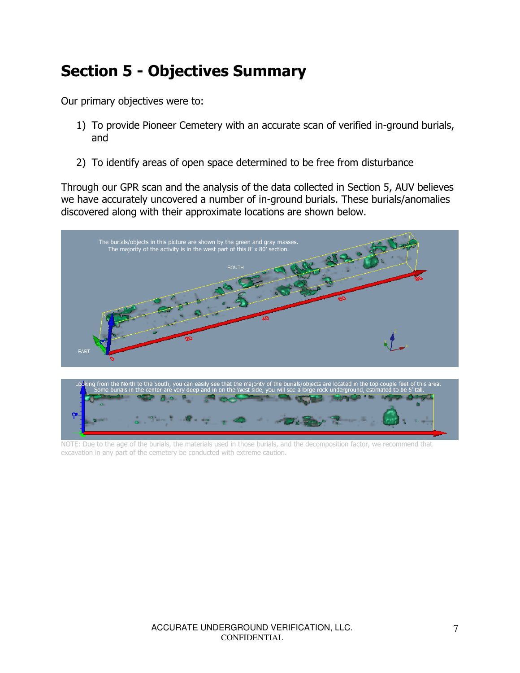## Section 5 - Objectives Summary

Our primary objectives were to:

- 1) To provide Pioneer Cemetery with an accurate scan of verified in-ground burials, and
- 2) To identify areas of open space determined to be free from disturbance

Through our GPR scan and the analysis of the data collected in Section 5, AUV believes we have accurately uncovered a number of in-ground burials. These burials/anomalies discovered along with their approximate locations are shown below.





NOTE: Due to the age of the burials, the materials used in those burials, and the decomposition factor, we recommend that excavation in any part of the cemetery be conducted with extreme caution.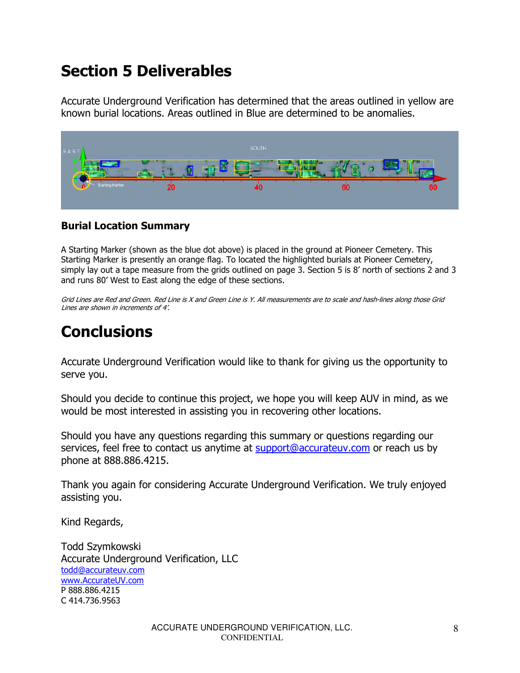#### Section 5 Deliverables

Accurate Underground Verification has determined that the areas outlined in yellow are known burial locations. Areas outlined in Blue are determined to be anomalies.



#### Burial Location Summary

A Starting Marker (shown as the blue dot above) is placed in the ground at Pioneer Cemetery. This Starting Marker is presently an orange flag. To located the highlighted burials at Pioneer Cemetery, simply lay out a tape measure from the grids outlined on page 3. Section 5 is 8' north of sections 2 and 3 and runs 80' West to East along the edge of these sections.

Grid Lines are Red and Green. Red Line is X and Green Line is Y. All measurements are to scale and hash-lines along those Grid Lines are shown in increments of 4'.

# **Conclusions**

Accurate Underground Verification would like to thank for giving us the opportunity to serve you.

Should you decide to continue this project, we hope you will keep AUV in mind, as we would be most interested in assisting you in recovering other locations.

Should you have any questions regarding this summary or questions regarding our services, feel free to contact us anytime at support@accurateuv.com or reach us by phone at 888.886.4215.

Thank you again for considering Accurate Underground Verification. We truly enjoyed assisting you.

Kind Regards,

Todd Szymkowski Accurate Underground Verification, LLC todd@accurateuv.com www.AccurateUV.com P 888.886.4215 C 414.736.9563